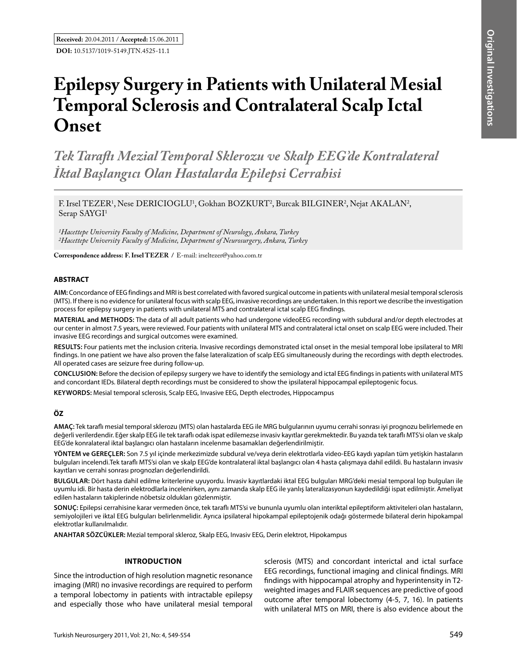# **Epilepsy Surgery in Patients with Unilateral Mesial Temporal Sclerosis and Contralateral Scalp Ictal Onset**

*Tek Taraflı Mezial Temporal Sklerozu ve Skalp EEG'de Kontralateral İktal Başlangıcı Olan Hastalarda Epilepsi Cerrahisi* 

F. Irsel TEZER<sup>1</sup>, Nese DERICIOGLU<sup>1</sup>, Gokhan BOZKURT<sup>2</sup>, Burcak BILGINER<sup>2</sup>, Nejat AKALAN<sup>2</sup>, Serap SAYGI<sup>1</sup>

*1Hacettepe University Faculty of Medicine, Department of Neurology, Ankara, Turkey 2Hacettepe University Faculty of Medicine, Department of Neurosurgery, Ankara, Turkey*

**Correspondence address: F. Irsel Tezer /** E-mail: irseltezer@yahoo.com.tr

### **ABSTRACT**

**AIm:** Concordance of EEG findings and MRI is best correlated with favored surgical outcome in patients with unilateral mesial temporal sclerosis (MTS). If there is no evidence for unilateral focus with scalp EEG, invasive recordings are undertaken. In this report we describe the investigation process for epilepsy surgery in patients with unilateral MTS and contralateral ictal scalp EEG findings.

**MaterIal and Methods:** The data of all adult patients who had undergone videoEEG recording with subdural and/or depth electrodes at our center in almost 7.5 years, were reviewed. Four patients with unilateral MTS and contralateral ictal onset on scalp EEG were included. Their invasive EEG recordings and surgical outcomes were examined.

**Results:** Four patients met the inclusion criteria. Invasive recordings demonstrated ictal onset in the mesial temporal lobe ipsilateral to MRI findings. In one patient we have also proven the false lateralization of scalp EEG simultaneously during the recordings with depth electrodes. All operated cases are seizure free during follow-up.

**ConclusIon:** Before the decision of epilepsy surgery we have to identify the semiology and ictal EEG findings in patients with unilateral MTS and concordant IEDs. Bilateral depth recordings must be considered to show the ipsilateral hippocampal epileptogenic focus.

**Keywords:** Mesial temporal sclerosis, Scalp EEG, Invasive EEG, Depth electrodes, Hippocampus

## **ÖZ**

**AMAÇ:** Tek taraflı mesial temporal sklerozu (MTS) olan hastalarda EEG ile MRG bulgularının uyumu cerrahi sonrası iyi prognozu belirlemede en değerli verilerdendir. Eğer skalp EEG ile tek taraflı odak ispat edilemezse invasiv kayıtlar gerekmektedir. Bu yazıda tek taraflı MTS'si olan ve skalp EEG'de konralateral iktal başlangıcı olan hastaların incelenme basamakları değerlendirilmiştir.

**YÖNTEM ve GEREÇLER:** Son 7.5 yıl içinde merkezimizde subdural ve/veya derin elektrotlarla video-EEG kaydı yapılan tüm yetişkin hastaların bulguları incelendi.Tek taraflı MTS'si olan ve skalp EEG'de kontralateral iktal başlangıcı olan 4 hasta çalışmaya dahil edildi. Bu hastaların invasiv kayıtları ve cerrahi sonrası prognozları değerlendirildi.

**BULGULAR:** Dört hasta dahil edilme kriterlerine uyuyordu. İnvasiv kayıtlardaki iktal EEG bulguları MRG'deki mesial temporal lop bulguları ile uyumlu idi. Bir hasta derin elektrodlarla incelenirken, aynı zamanda skalp EEG ile yanlış lateralizasyonun kaydedildiği ispat edilmiştir. Ameliyat edilen hastaların takiplerinde nöbetsiz oldukları gözlenmiştir.

**SONUÇ:** Epilepsi cerrahisine karar vermeden önce, tek taraflı MTS'si ve bununla uyumlu olan interiktal epileptiform aktiviteleri olan hastaların, semiyolojileri ve iktal EEG bulguları belirlenmelidir. Ayrıca ipsilateral hipokampal epileptojenik odağı göstermede bilateral derin hipokampal elektrotlar kullanılmalıdır.

**ANAHTAR SÖZCÜKLER:** Mezial temporal skleroz, Skalp EEG, Invasiv EEG, Derin elektrot, Hipokampus

### **Introduction**

Since the introduction of high resolution magnetic resonance imaging (MRI) no invasive recordings are required to perform a temporal lobectomy in patients with intractable epilepsy and especially those who have unilateral mesial temporal sclerosis (MTS) and concordant interictal and ictal surface EEG recordings, functional imaging and clinical findings. MRI findings with hippocampal atrophy and hyperintensity in T2 weighted images and FLAIR sequences are predictive of good outcome after temporal lobectomy (4-5, 7, 16). In patients with unilateral MTS on MRI, there is also evidence about the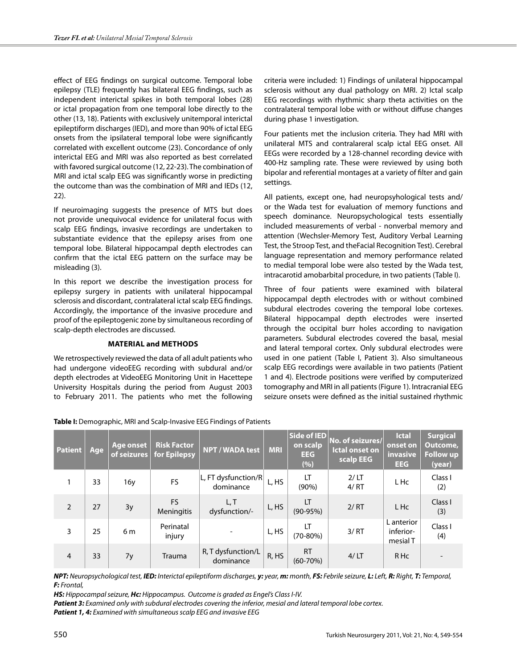effect of EEG findings on surgical outcome. Temporal lobe epilepsy (TLE) frequently has bilateral EEG findings, such as independent interictal spikes in both temporal lobes (28) or ictal propagation from one temporal lobe directly to the other (13, 18). Patients with exclusively unitemporal interictal epileptiform discharges (IED), and more than 90% of ictal EEG onsets from the ipsilateral temporal lobe were significantly correlated with excellent outcome (23). Concordance of only interictal EEG and MRI was also reported as best correlated with favored surgical outcome (12, 22-23). The combination of MRI and ictal scalp EEG was significantly worse in predicting the outcome than was the combination of MRI and IEDs (12, 22).

If neuroimaging suggests the presence of MTS but does not provide unequivocal evidence for unilateral focus with scalp EEG findings, invasive recordings are undertaken to substantiate evidence that the epilepsy arises from one temporal lobe. Bilateral hippocampal depth electrodes can confirm that the ictal EEG pattern on the surface may be misleading (3).

In this report we describe the investigation process for epilepsy surgery in patients with unilateral hippocampal sclerosis and discordant, contralateral ictal scalp EEG findings. Accordingly, the importance of the invasive procedure and proof of the epileptogenic zone by simultaneous recording of scalp-depth electrodes are discussed.

## **Materıal and Methods**

We retrospectively reviewed the data of all adult patients who had undergone videoEEG recording with subdural and/or depth electrodes at VideoEEG Monitoring Unit in Hacettepe University Hospitals during the period from August 2003 to February 2011. The patients who met the following criteria were included: 1) Findings of unilateral hippocampal sclerosis without any dual pathology on MRI. 2) Ictal scalp EEG recordings with rhythmic sharp theta activities on the contralateral temporal lobe with or without diffuse changes during phase 1 investigation.

Four patients met the inclusion criteria. They had MRI with unilateral MTS and contralareral scalp ictal EEG onset. All EEGs were recorded by a 128-channel recording device with 400-Hz sampling rate. These were reviewed by using both bipolar and referential montages at a variety of filter and gain settings.

All patients, except one, had neuropsyhological tests and/ or the Wada test for evaluation of memory functions and speech dominance. Neuropsychological tests essentially included measurements of verbal - nonverbal memory and attention (Wechsler-Memory Test, Auditory Verbal Learning Test, the Stroop Test, and theFacial Recognition Test). Cerebral language representation and memory performance related to medial temporal lobe were also tested by the Wada test, intracarotid amobarbital procedure, in two patients (Table I).

Three of four patients were examined with bilateral hippocampal depth electrodes with or without combined subdural electrodes covering the temporal lobe cortexes. Bilateral hippocampal depth electrodes were inserted through the occipital burr holes according to navigation parameters. Subdural electrodes covered the basal, mesial and lateral temporal cortex. Only subdural electrodes were used in one patient (Table I, Patient 3). Also simultaneous scalp EEG recordings were available in two patients (Patient 1 and 4). Electrode positions were verified by computerized tomography and MRI in all patients (Figure 1). Intracranial EEG seizure onsets were defined as the initial sustained rhythmic

| <b>Patient</b> | Age | Age onset<br>of seizures | <b>Risk Factor</b><br>for Epilepsy | NPT / WADA test                          | <b>MRI</b> | Side of IED<br>on scalp<br><b>EEG</b><br>(%) | No. of seizures/<br><b>Ictal onset on</b><br>scalp EEG | <b>Ictal</b><br>onset on<br>invasive<br><b>EEG</b> | <b>Surgical</b><br>Outcome,<br><b>Follow up</b><br>(year) |
|----------------|-----|--------------------------|------------------------------------|------------------------------------------|------------|----------------------------------------------|--------------------------------------------------------|----------------------------------------------------|-----------------------------------------------------------|
|                | 33  | 16y                      | <b>FS</b>                          | $ L$ , FT dysfunction/R $ $<br>dominance | L, HS      | LT<br>$(90\%)$                               | 2/LT<br>4/RT                                           | L Hc                                               | Class I<br>(2)                                            |
| $\overline{2}$ | 27  | 3y                       | FS.<br>Meningitis                  | L, T<br>dysfunction/-                    | L, HS      | LT<br>$(90-95%)$                             | 2/RT                                                   | L Hc                                               | Class I<br>(3)                                            |
| 3              | 25  | 6 m                      | Perinatal<br>injury                |                                          | L, HS      | LT<br>$(70-80%)$                             | 3/RT                                                   | L anterior<br>inferior-<br>mesial T                | Class I<br>(4)                                            |
| $\overline{4}$ | 33  | 7y                       | Trauma                             | R, T dysfunction/L<br>dominance          | R, HS      | <b>RT</b><br>$(60 - 70\%)$                   | 4/LT                                                   | R Hc                                               |                                                           |

**Table I:** Demographic, MRI and Scalp-Invasive EEG Findings of Patients

NPT: Neuropsychological test, IED: Interictal epileptiform discharges, y: year, m: month, FS: Febrile seizure, L: Left, R: Right, T: Temporal, *F: Frontal,* 

*HS: Hippocampal seizure, Hc: Hippocampus. Outcome is graded as Engel's Class I-IV.*

*Patient 3: Examined only with subdural electrodes covering the inferior, mesial and lateral temporal lobe cortex.*

*Patient 1, 4: Examined with simultaneous scalp EEG and invasive EEG*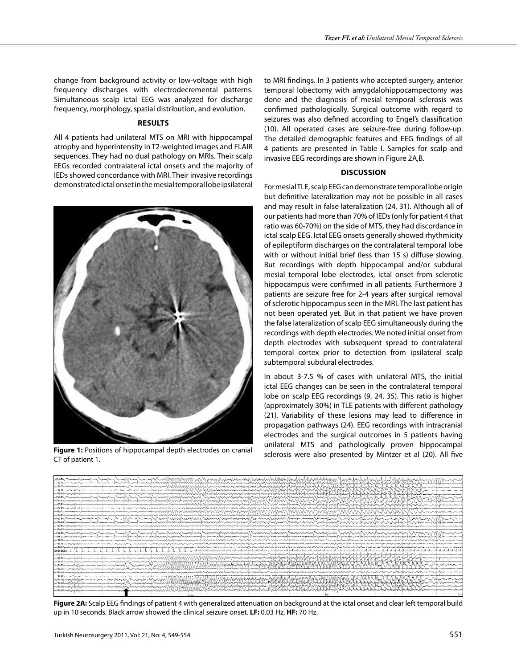change from background activity or low-voltage with high frequency discharges with electrodecremental patterns. Simultaneous scalp ictal EEG was analyzed for discharge frequency, morphology, spatial distribution, and evolution.

#### **Results**

All 4 patients had unilateral MTS on MRI with hippocampal atrophy and hyperintensity in T2-weighted images and FLAIR sequences. They had no dual pathology on MRIs. Their scalp EEGs recorded contralateral ictal onsets and the majority of IEDs showed concordance with MRI. Their invasive recordings demonstrated ictal onset in the mesial temporal lobe ipsilateral



sclerosis were also presented by Mintzer et al (20). All five **Figure 1:** Positions of hippocampal depth electrodes on cranial CT of patient 1.

to MRI findings. In 3 patients who accepted surgery, anterior temporal lobectomy with amygdalohippocampectomy was done and the diagnosis of mesial temporal sclerosis was confirmed pathologically. Surgical outcome with regard to seizures was also defined according to Engel's classification (10). All operated cases are seizure-free during follow-up. The detailed demographic features and EEG findings of all 4 patients are presented in Table I. Samples for scalp and invasive EEG recordings are shown in Figure 2A,B.

## **Discussion**

For mesial TLE, scalp EEG can demonstrate temporal lobe origin but definitive lateralization may not be possible in all cases and may result in false lateralization (24, 31). Although all of our patients had more than 70% of IEDs (only for patient 4 that ratio was 60-70%) on the side of MTS, they had discordance in ictal scalp EEG. Ictal EEG onsets generally showed rhythmicity of epileptiform discharges on the contralateral temporal lobe with or without initial brief (less than 15 s) diffuse slowing. But recordings with depth hippocampal and/or subdural mesial temporal lobe electrodes, ictal onset from sclerotic hippocampus were confirmed in all patients. Furthermore 3 patients are seizure free for 2-4 years after surgical removal of sclerotic hippocampus seen in the MRI. The last patient has not been operated yet. But in that patient we have proven the false lateralization of scalp EEG simultaneously during the recordings with depth electrodes. We noted initial onset from depth electrodes with subsequent spread to contralateral temporal cortex prior to detection from ipsilateral scalp subtemporal subdural electrodes.

In about 3-7.5 % of cases with unilateral MTS, the initial ictal EEG changes can be seen in the contralateral temporal lobe on scalp EEG recordings (9, 24, 35). This ratio is higher (approximately 30%) in TLE patients with different pathology (21). Variability of these lesions may lead to difference in propagation pathways (24). EEG recordings with intracranial electrodes and the surgical outcomes in 5 patients having unilateral MTS and pathologically proven hippocampal



**Figure 2A:** Scalp EEG findings of patient 4 with generalized attenuation on background at the ictal onset and clear left temporal build up in 10 seconds. Black arrow showed the clinical seizure onset. **LF:** 0.03 Hz, **HF:** 70 Hz.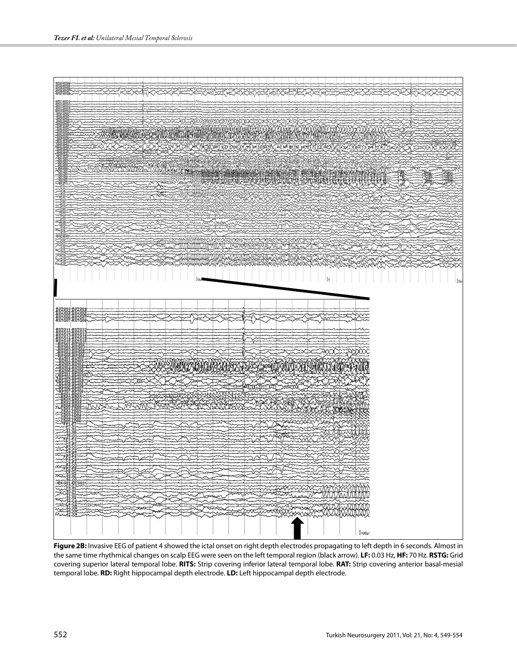

**Figure 2B:** Invasive EEG of patient 4 showed the ictal onset on right depth electrodes propagating to left depth in 6 seconds. Almost in the same time rhythmical changes on scalp EEG were seen on the left temporal region (black arrow). **LF:** 0.03 Hz, **HF:** 70 Hz. **RSTG:** Grid covering superior lateral temporal lobe. **RITS:** Strip covering inferior lateral temporal lobe. **RAT:** Strip covering anterior basal-mesial temporal lobe. **RD:** Right hippocampal depth electrode. **LD:** Left hippocampal depth electrode.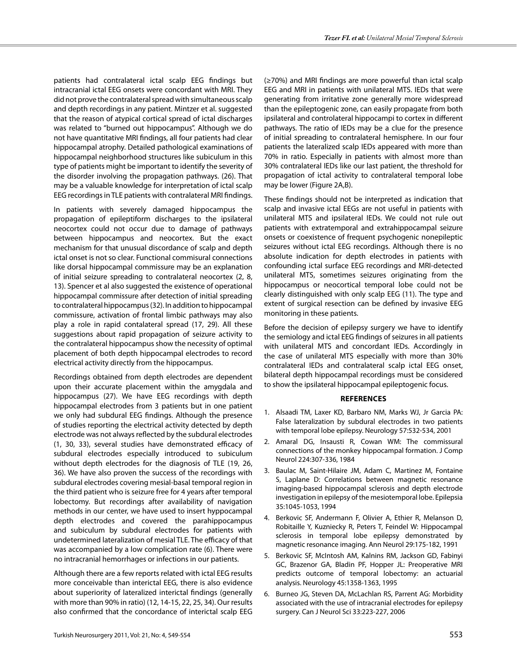patients had contralateral ictal scalp EEG findings but intracranial ictal EEG onsets were concordant with MRI. They did not prove the contralateral spread with simultaneous scalp and depth recordings in any patient. Mintzer et al. suggested that the reason of atypical cortical spread of ictal discharges was related to "burned out hippocampus". Although we do not have quantitative MRI findings, all four patients had clear hippocampal atrophy. Detailed pathological examinations of hippocampal neighborhood structures like subiculum in this type of patients might be important to identify the severity of the disorder involving the propagation pathways. (26). That may be a valuable knowledge for interpretation of ictal scalp EEG recordings in TLE patients with contralateral MRI findings.

In patients with severely damaged hippocampus the propagation of epileptiform discharges to the ipsilateral neocortex could not occur due to damage of pathways between hippocampus and neocortex. But the exact mechanism for that unusual discordance of scalp and depth ictal onset is not so clear. Functional commisural connections like dorsal hippocampal commissure may be an explanation of initial seizure spreading to contralateral neocortex (2, 8, 13). Spencer et al also suggested the existence of operational hippocampal commissure after detection of initial spreading to contralateral hippocampus (32). In addition to hippocampal commissure, activation of frontal limbic pathways may also play a role in rapid contalateral spread (17, 29). All these suggestions about rapid propagation of seizure activity to the contralateral hippocampus show the necessity of optimal placement of both depth hippocampal electrodes to record electrical activity directly from the hippocampus.

Recordings obtained from depth electrodes are dependent upon their accurate placement within the amygdala and hippocampus (27). We have EEG recordings with depth hippocampal electrodes from 3 patients but in one patient we only had subdural EEG findings. Although the presence of studies reporting the electrical activity detected by depth electrode was not always reflected by the subdural electrodes (1, 30, 33), several studies have demonstrated efficacy of subdural electrodes especially introduced to subiculum without depth electrodes for the diagnosis of TLE (19, 26, 36). We have also proven the success of the recordings with subdural electrodes covering mesial-basal temporal region in the third patient who is seizure free for 4 years after temporal lobectomy. But recordings after availability of navigation methods in our center, we have used to insert hyppocampal depth electrodes and covered the parahippocampus and subiculum by subdural electrodes for patients with undetermined lateralization of mesial TLE. The efficacy of that was accompanied by a low complication rate (6). There were no intracranial hemorrhages or infections in our patients.

Although there are a few reports related with ictal EEG results more conceivable than interictal EEG, there is also evidence about superiority of lateralized interictal findings (generally with more than 90% in ratio) (12, 14-15, 22, 25, 34). Our results also confirmed that the concordance of interictal scalp EEG

(≥70%) and MRI findings are more powerful than ictal scalp EEG and MRI in patients with unilateral MTS. IEDs that were generating from irritative zone generally more widespread than the epileptogenic zone, can easily propagate from both ipsilateral and controlateral hippocampi to cortex in different pathways. The ratio of IEDs may be a clue for the presence of initial spreading to contralateral hemisphere. In our four patients the lateralized scalp IEDs appeared with more than 70% in ratio. Especially in patients with almost more than 30% contralateral IEDs like our last patient, the threshold for propagation of ictal activity to contralateral temporal lobe may be lower (Figure 2A,B).

These findings should not be interpreted as indication that scalp and invasive ictal EEGs are not useful in patients with unilateral MTS and ipsilateral IEDs. We could not rule out patients with extratemporal and extrahippocampal seizure onsets or coexistence of frequent psychogenic nonepileptic seizures without ictal EEG recordings. Although there is no absolute indication for depth electrodes in patients with confounding ictal surface EEG recordings and MRI-detected unilateral MTS, sometimes seizures originating from the hippocampus or neocortical temporal lobe could not be clearly distinguished with only scalp EEG (11). The type and extent of surgical resection can be defined by invasive EEG monitoring in these patients.

Before the decision of epilepsy surgery we have to identify the semiology and ictal EEG findings of seizures in all patients with unilateral MTS and concordant IEDs. Accordingly in the case of unilateral MTS especially with more than 30% contralateral IEDs and contralateral scalp ictal EEG onset, bilateral depth hippocampal recordings must be considered to show the ipsilateral hippocampal epileptogenic focus.

#### **References**

- 1. Alsaadi TM, Laxer KD, Barbaro NM, Marks WJ, Jr Garcia PA: False lateralization by subdural electrodes in two patients with temporal lobe epilepsy. Neurology 57:532-534, 2001
- 2. Amaral DG, Insausti R, Cowan WM: The commissural connections of the monkey hippocampal formation. J Comp Neurol 224:307-336, 1984
- 3. Baulac M, Saint-Hilaire JM, Adam C, Martinez M, Fontaine S, Laplane D: Correlations between magnetic resonance imaging-based hippocampal sclerosis and depth electrode investigation in epilepsy of the mesiotemporal lobe. Epilepsia 35:1045-1053, 1994
- 4. Berkovic SF, Andermann F, Olivier A, Ethier R, Melanson D, Robitaille Y, Kuzniecky R, Peters T, Feindel W: Hippocampal sclerosis in temporal lobe epilepsy demonstrated by magnetic resonance imaging. Ann Neurol 29:175-182, 1991
- 5. Berkovic SF, McIntosh AM, Kalnins RM, Jackson GD, Fabinyi GC, Brazenor GA, Bladin PF, Hopper JL: Preoperative MRI predicts outcome of temporal lobectomy: an actuarial analysis. Neurology 45:1358-1363, 1995
- 6. Burneo JG, Steven DA, McLachlan RS, Parrent AG: Morbidity associated with the use of intracranial electrodes for epilepsy surgery. Can J Neurol Sci 33:223-227, 2006